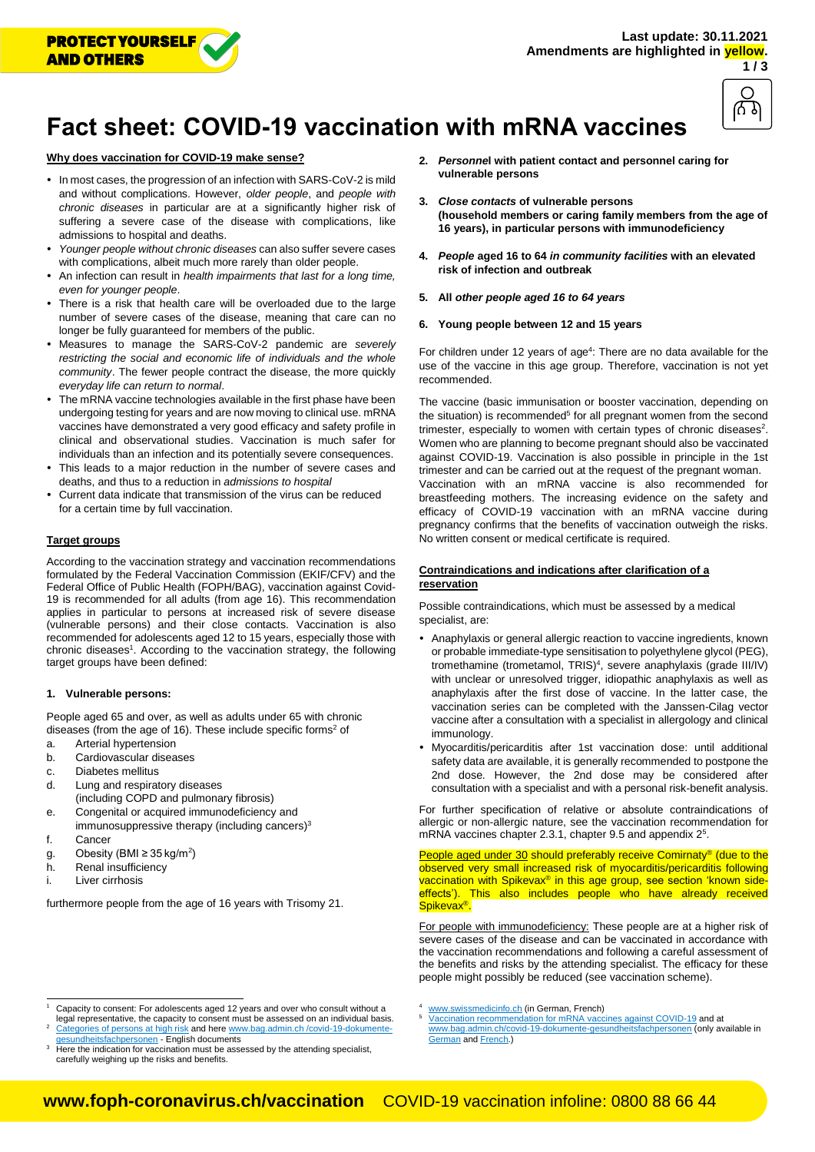



# **Fact sheet: COVID-19 vaccination with mRNA vaccines**

## **Why does vaccination for COVID-19 make sense?**

- In most cases, the progression of an infection with SARS-CoV-2 is mild and without complications. However, *older people*, and *people with chronic diseases* in particular are at a significantly higher risk of suffering a severe case of the disease with complications, like admissions to hospital and deaths.
- *Younger people without chronic diseases* can also suffer severe cases with complications, albeit much more rarely than older people.
- An infection can result in *health impairments that last for a long time, even for younger people*.
- There is a risk that health care will be overloaded due to the large number of severe cases of the disease, meaning that care can no longer be fully guaranteed for members of the public.
- Measures to manage the SARS-CoV-2 pandemic are *severely restricting the social and economic life of individuals and the whole community*. The fewer people contract the disease, the more quickly *everyday life can return to normal*.
- The mRNA vaccine technologies available in the first phase have been undergoing testing for years and are now moving to clinical use. mRNA vaccines have demonstrated a very good efficacy and safety profile in clinical and observational studies. Vaccination is much safer for individuals than an infection and its potentially severe consequences.
- This leads to a major reduction in the number of severe cases and deaths, and thus to a reduction in *admissions to hospital*
- Current data indicate that transmission of the virus can be reduced for a certain time by full vaccination.

### **Target groups**

According to the vaccination strategy and vaccination recommendations formulated by the Federal Vaccination Commission (EKIF/CFV) and the Federal Office of Public Health (FOPH/BAG), vaccination against Covid-19 is recommended for all adults (from age 16). This recommendation applies in particular to persons at increased risk of severe disease (vulnerable persons) and their close contacts. Vaccination is also recommended for adolescents aged 12 to 15 years, especially those with chronic diseases<sup>1</sup>. According to the vaccination strategy, the following target groups have been defined:

### **1. Vulnerable persons:**

People aged 65 and over, as well as adults under 65 with chronic diseases (from the age of 16). These include specific forms<sup>2</sup> of

- a. Arterial hypertension
- b. Cardiovascular diseases
- c. Diabetes mellitus
- d. Lung and respiratory diseases (including COPD and pulmonary fibrosis)
- e. Congenital or acquired immunodeficiency and immunosuppressive therapy (including cancers) $3$
- f. Cancer

l

- g. Obesity (BMI ≥ 35 kg/m<sup>2</sup>)
- h. Renal insufficiency
- i Liver cirrhosis

furthermore people from the age of 16 years with Trisomy 21.

- **2.** *Personne***l with patient contact and personnel caring for vulnerable persons**
- **3.** *Close contacts* **of vulnerable persons (household members or caring family members from the age of 16 years), in particular persons with immunodeficiency**
- **4.** *People* **aged 16 to 64** *in community facilities* **with an elevated risk of infection and outbreak**
- **5. All** *other people aged 16 to 64 years*
- **6. Young people between 12 and 15 years**

<span id="page-0-1"></span>For children under 12 years of age<sup>4</sup>: There are no data available for the use of the vaccine in this age group. Therefore, vaccination is not yet recommended.

<span id="page-0-2"></span>The vaccine (basic immunisation or booster vaccination, depending on the situation) is recommended<sup>5</sup> for all pregnant women from the second trime[s](#page-0-0)ter, especially to women with certain types of chronic diseases<sup>2</sup>. Women who are planning to become pregnant should also be vaccinated against COVID-19. Vaccination is also possible in principle in the 1st trimester and can be carried out at the request of the pregnant woman. Vaccination with an mRNA vaccine is also recommended for breastfeeding mothers. The increasing evidence on the safety and efficacy of COVID-19 vaccination with an mRNA vaccine during pregnancy confirms that the benefits of vaccination outweigh the risks. No written consent or medical certificate is required.

### **Contraindications and indications after clarification of a reservation**

Possible contraindications, which must be assessed by a medical specialist, are:

- Anaphylaxis or general allergic reaction to vaccine ingredients, known or probable immediate-type sensitisation to polyethylene glycol (PEG), tromethamine (trometamol[,](#page-0-1) TRIS)<sup>4</sup>, severe anaphylaxis (grade III/IV) with unclear or unresolved trigger, idiopathic anaphylaxis as well as anaphylaxis after the first dose of vaccine. In the latter case, the vaccination series can be completed with the Janssen-Cilag vector vaccine after a consultation with a specialist in allergology and clinical immunology.
- <span id="page-0-0"></span> Myocarditis/pericarditis after 1st vaccination dose: until additional safety data are available, it is generally recommended to postpone the 2nd dose. However, the 2nd dose may be considered after consultation with a specialist and with a personal risk-benefit analysis.

For further specification of relative or absolute contraindications of allergic or non-allergic nature, see the vaccination recommendation for mRNA vaccines chapter [2](#page-0-2).3.1, chapter 9.5 and appendix 2<sup>5</sup>.

People aged under 30 should preferably receive Comirnaty® (due to the observed very small increased risk of myocarditis/pericarditis following vaccination with Spikevax<sup>®</sup> in this age group, see section 'known sideeffects'). This also includes people who have already received Spikevax<sup>®</sup>.

For people with immunodeficiency: These people are at a higher risk of severe cases of the disease and can be vaccinated in accordance with the vaccination recommendations and following a careful assessment of the benefits and risks by the attending specialist. The efficacy for these people might possibly be reduced (see vaccination scheme).

<sup>4</sup> [www.swissmedicinfo.ch](http://www.swissmedicinfo.ch/) (in German, French)

[Vaccination recommendation for mRNA vaccines against COVID-19](https://www.bag.admin.ch/dam/bag/de/dokumente/mt/k-und-i/aktuelle-ausbrueche-pandemien/2019-nCoV/impfempfehlung-covid-19.pdf.download.pdf/Impfempfehlung%20f%C3%BCr%20mRNA-Impfstoffe%20gegen%20Covid-19.pdf) and at [www.bag.admin.ch/covid-19-dokumente-gesundheitsfachpersonen](http://www.bag.admin.ch/covid-19-dokumente-gesundheitsfachpersonen) (only available in [German](https://www.bag.admin.ch/dam/bag/de/dokumente/mt/k-und-i/aktuelle-ausbrueche-pandemien/2019-nCoV/impfempfehlung-covid-19.pdf.download.pdf/Impfempfehlung%20f%C3%BCr%20mRNA-Impfstoffe%20gegen%20Covid-19.pdf) an[d French.\)](https://www.bag.admin.ch/dam/bag/fr/dokumente/mt/k-und-i/aktuelle-ausbrueche-pandemien/2019-nCoV/impfempfehlung-covid-19.pdf.download.pdf/Recommandations%20de%20vaccination%20avec%20des%20vaccins%20%C3%A0%20ARNm%20contre%20le%20COVID-19.pdf)

Capacity to consent: For adolescents aged 12 years and over who consult without a legal representative, the capacity to consent must be assessed on an individual basis. <sup>2</sup> [Categories of persons at high risk](https://www.bag.admin.ch/dam/bag/en/dokumente/mt/k-und-i/aktuelle-ausbrueche-pandemien/2019-nCoV/kategorien-besonders-gefaehrdete-personen.pdf.download.pdf/Categories%20of%20persons%20at%20high%20risk.pdf) and her[e www.bag.admin.ch /covid-19-dokumente](file:///C:/Users/user/AppData/Local/Temp/www.bag.admin.ch%20/covid-19-dokumente-gesundheitsfachpersonen)dheitsfachpersonen - English documents

Here the indication for vaccination must be assessed by the attending specialist, carefully weighing up the risks and benefits.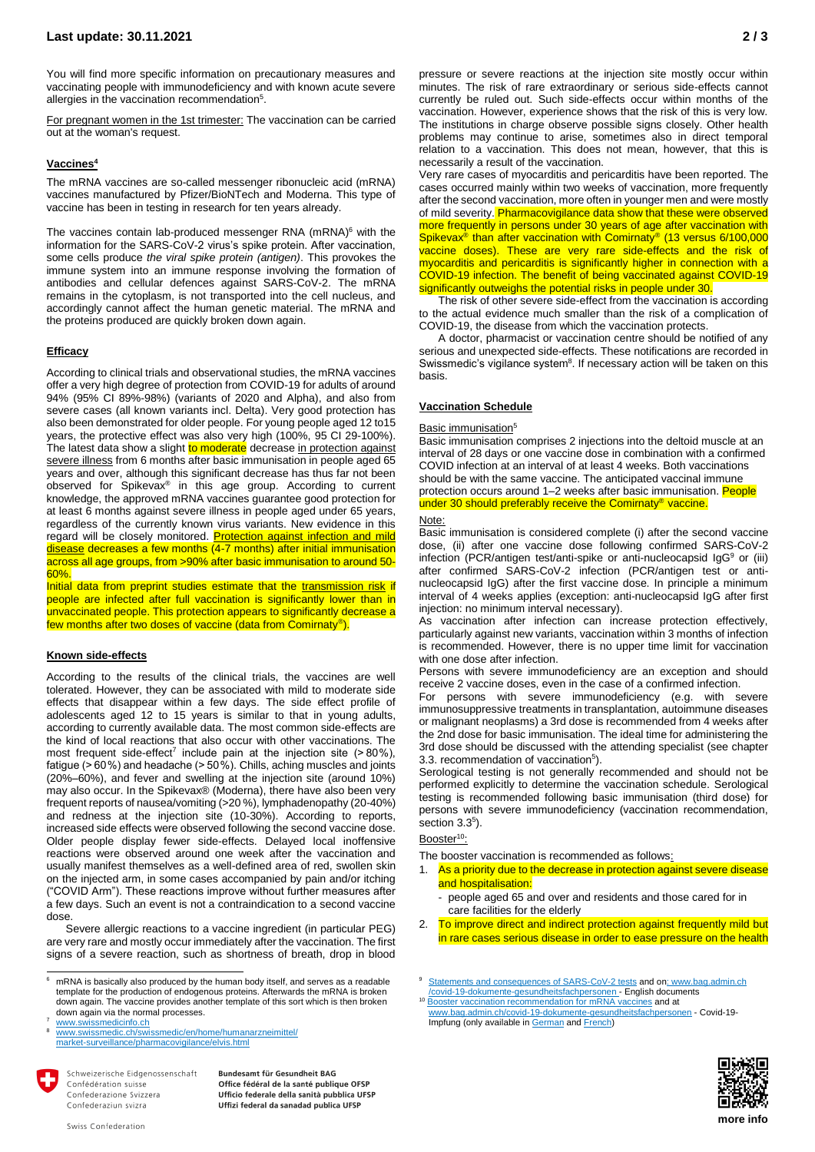You will find more specific information on precautionary measures and vaccinating people with immunodeficiency and with known acute severe allergies i[n](#page-0-2) the vaccination recommendation<sup>5</sup>.

For pregnant women in the 1st trimester: The vaccination can be carried out at the woman's request.

### **Vaccine[s](#page-0-1) 4**

The mRNA vaccines are so-called messenger ribonucleic acid (mRNA) vaccines manufactured by Pfizer/BioNTech and Moderna. This type of vaccine has been in testing in research for ten years already.

The vaccines contain lab-produced messenger RNA (mRNA) <sup>6</sup> with the information for the SARS-CoV-2 virus's spike protein. After vaccination, some cells produce *the viral spike protein (antigen)*. This provokes the immune system into an immune response involving the formation of antibodies and cellular defences against SARS-CoV-2. The mRNA remains in the cytoplasm, is not transported into the cell nucleus, and accordingly cannot affect the human genetic material. The mRNA and the proteins produced are quickly broken down again.

### **Efficacy**

According to clinical trials and observational studies, the mRNA vaccines offer a very high degree of protection from COVID-19 for adults of around 94% (95% CI 89%-98%) (variants of 2020 and Alpha), and also from severe cases (all known variants incl. Delta). Very good protection has also been demonstrated for older people. For young people aged 12 to15 years, the protective effect was also very high (100%, 95 CI 29-100%). The latest data show a slight to moderate decrease in protection against severe illness from 6 months after basic immunisation in people aged 65 years and over, although this significant decrease has thus far not been observed for Spikevax® in this age group. According to current knowledge, the approved mRNA vaccines guarantee good protection for at least 6 months against severe illness in people aged under 65 years, regardless of the currently known virus variants. New evidence in this regard will be closely monitored. Protection against infection and mild disease decreases a few months (4-7 months) after initial immunisation across all age groups, from >90% after basic immunisation to around 50- 60%.

Initial data from preprint studies estimate that the transmission risk if people are infected after full vaccination is significantly lower than in unvaccinated people. This protection appears to significantly decrease a few months after two doses of vaccine (data from Comirnaty®).

### **Known side-effects**

According to the results of the clinical trials, the vaccines are well tolerated. However, they can be associated with mild to moderate side effects that disappear within a few days. The side effect profile of adolescents aged 12 to 15 years is similar to that in young adults, according to currently available data. The most common side-effects are the kind of local reactions that also occur with other vaccinations. The most frequent side-effect<sup>7</sup> include pain at the injection site  $(>80\%)$ , fatigue (> 60 %) and headache (> 50 %). Chills, aching muscles and joints (20%–60%), and fever and swelling at the injection site (around 10%) may also occur. In the Spikevax® (Moderna), there have also been very frequent reports of nausea/vomiting (>20 %), lymphadenopathy (20-40%) and redness at the injection site (10-30%). According to reports, increased side effects were observed following the second vaccine dose. Older people display fewer side-effects. Delayed local inoffensive reactions were observed around one week after the vaccination and usually manifest themselves as a well-defined area of red, swollen skin on the injected arm, in some cases accompanied by pain and/or itching ("COVID Arm"). These reactions improve without further measures after a few days. Such an event is not a contraindication to a second vaccine dose.

Severe allergic reactions to a vaccine ingredient (in particular PEG) are very rare and mostly occur immediately after the vaccination. The first signs of a severe reaction, such as shortness of breath, drop in blood

 $\overline{a}$ 

Schweizerische Eidgenossenschaft Confédération suisse Confederazione Svizzera Confederaziun svizra

Bundesamt für Gesundheit BAG Office fédéral de la santé publique OFSP Ufficio federale della sanità pubblica UFSP Uffizi federal da sanadad publica UFSP

pressure or severe reactions at the injection site mostly occur within minutes. The risk of rare extraordinary or serious side-effects cannot currently be ruled out. Such side-effects occur within months of the vaccination. However, experience shows that the risk of this is very low. The institutions in charge observe possible signs closely. Other health problems may continue to arise, sometimes also in direct temporal relation to a vaccination. This does not mean, however, that this is necessarily a result of the vaccination.

Very rare cases of myocarditis and pericarditis have been reported. The cases occurred mainly within two weeks of vaccination, more frequently after the second vaccination, more often in younger men and were mostly of mild severity. Pharmacovigilance data show that these were observed more frequently in persons under 30 years of age after vaccination with Spikevax<sup>®</sup> than after vaccination with Comirnaty<sup>®</sup> (13 versus 6/100,000 vaccine doses). These are very rare side-effects and the risk of myocarditis and pericarditis is significantly higher in connection with a COVID-19 infection. The benefit of being vaccinated against COVID-19 significantly outweighs the potential risks in people under 30

The risk of other severe side-effect from the vaccination is according to the actual evidence much smaller than the risk of a complication of COVID-19, the disease from which the vaccination protects.

A doctor, pharmacist or vaccination centre should be notified of any serious and unexpected side-effects. These notifications are recorded in Swissmedic's vigilance system<sup>8</sup>. If necessary action will be taken on this basis.

### **Vaccination Schedule**

### Basic immu[n](#page-0-2)isation<sup>5</sup>

Basic immunisation comprises 2 injections into the deltoid muscle at an interval of 28 days or one vaccine dose in combination with a confirmed COVID infection at an interval of at least 4 weeks. Both vaccinations should be with the same vaccine. The anticipated vaccinal immune protection occurs around 1–2 weeks after basic immunisation. People under 30 should preferably receive the Comirnaty<sup>®</sup> vaccine.

### Note:

Basic immunisation is considered complete (i) after the second vaccine dose, (ii) after one vaccine dose following confirmed SARS-CoV-2 infection (PCR/antigen test/anti-spike or anti-nucleocapsid IgG<sup>9</sup> or (iii) after confirmed SARS-CoV-2 infection (PCR/antigen test or antinucleocapsid IgG) after the first vaccine dose. In principle a minimum interval of 4 weeks applies (exception: anti-nucleocapsid IgG after first injection: no minimum interval necessary).

As vaccination after infection can increase protection effectively, particularly against new variants, vaccination within 3 months of infection is recommended. However, there is no upper time limit for vaccination with one dose after infection.

Persons with severe immunodeficiency are an exception and should receive 2 vaccine doses, even in the case of a confirmed infection.

For persons with severe immunodeficiency (e.g. with severe immunosuppressive treatments in transplantation, autoimmune diseases or malignant neoplasms) a 3rd dose is recommended from 4 weeks after the 2nd dose for basic immunisation. The ideal time for administering the 3rd dose should be discussed with the attending specialist (see chapter 3.3. recommendation of vaccination<sup>5</sup>).

Serological testing is not generally recommended and should not be performed explicitly to determine the vaccination schedule. Serological testing is recommended following basic immunisation (third dose) for persons with severe immunodeficiency (vaccination recommendation, section 3.3<sup>5</sup>).

# Booster<sup>10</sup>:

The booster vaccination is recommended as follows:

1. As a priority due to the decrease in protection against severe disease and hospitalisation:

- people aged 65 and over and residents and those cared for in care facilities for the elderly

2. To improve direct and indirect protection against frequently mild but in rare cases serious disease in order to ease pressure on the health

10 [Booster vaccination recommendation for](https://www.bag.admin.ch/dam/bag/de/dokumente/mt/k-und-i/aktuelle-ausbrueche-pandemien/2019-nCoV/impfempfehlung-auffrischimpfung-mrna.pdf.download.pdf/Covid%2019_Empfehlung%20einer%20Auffrischimpfung%20mit%20einem%20mRNA-Impfstoff_04.11.21.pdf) mRNA vaccines and at [www.bag.admin.ch/covid-19-dokumente-gesundheitsfachpersonen](http://www.bag.admin.ch/covid-19-dokumente-gesundheitsfachpersonen) - Covid-19- Impfung (only available i[n German](https://www.bag.admin.ch/dam/bag/de/dokumente/mt/k-und-i/aktuelle-ausbrueche-pandemien/2019-nCoV/impfempfehlung-auffrischimpfung-mrna.pdf.download.pdf/Covid%2019_Empfehlung%20einer%20Auffrischimpfung%20mit%20einem%20mRNA-Impfstoff_04.11.21.pdf) an[d French\)](https://www.bag.admin.ch/dam/bag/de/dokumente/mt/k-und-i/aktuelle-ausbrueche-pandemien/2019-nCoV/impfempfehlung-auffrischimpfung-mrna.pdf.download.pdf/Covid%2019_Empfehlung%20einer%20Auffrischimpfung%20mit%20einem%20mRNA-Impfstoff_04.11.21.pdf)



mRNA is basically also produced by the human body itself, and serves as a readable template for the production of endogenous proteins. Afterwards the mRNA is broken down again. The vaccine provides another template of this sort which is then broken down again via the normal processes.

[www.swissmedicinfo.ch](http://www.swissmedicinfo.ch/)

[www.swissmedic.ch/swissmedic/en/home/humanarzneimittel/](http://www.swissmedic.ch/swissmedic/en/home/humanarzneimittel/market-surveillance/pharmacovigilance/elvis.html) [market-surveillance/pharmacovigilance/elvis.html](http://www.swissmedic.ch/swissmedic/en/home/humanarzneimittel/market-surveillance/pharmacovigilance/elvis.html)

[Statements and consequences of SARS-CoV-2 tests](https://www.bag.admin.ch/dam/bag/de/dokumente/mt/k-und-i/aktuelle-ausbrueche-pandemien/2019-nCoV/table_statementsandconsequencesofdifferentypes.pdf.download.pdf/210621_tab%20aussagen%20tests%20und%20massnahmen_EN_final.pdf) and on: www.bag.admin.ch [/covid-19-dokumente-gesundheitsfachpersonen](file://///adb.intra.admin.ch/BAG$/Teams/Krisen/2019_nCov/07_UG%20Umsetzung%20Impfstoff/01_Team%20Implementierung/09_Infomaterial%20IP_FP/Factsheet/web211109/:%20www.bag.admin.ch%20/covid-19-dokumente-gesundheitsfachpersonen) - English documents